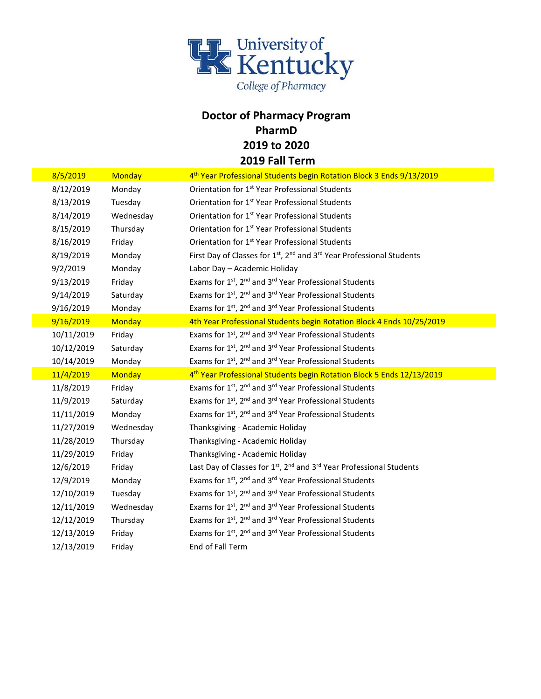

## **Doctor of Pharmacy Program PharmD 2019 to 2020 2019 Fall Term**

| 8/5/2019   | Monday        | 4 <sup>th</sup> Year Professional Students begin Rotation Block 3 Ends 9/13/2019                          |
|------------|---------------|-----------------------------------------------------------------------------------------------------------|
| 8/12/2019  | Monday        | Orientation for 1 <sup>st</sup> Year Professional Students                                                |
| 8/13/2019  | Tuesday       | Orientation for 1 <sup>st</sup> Year Professional Students                                                |
| 8/14/2019  | Wednesday     | Orientation for 1 <sup>st</sup> Year Professional Students                                                |
| 8/15/2019  | Thursday      | Orientation for 1 <sup>st</sup> Year Professional Students                                                |
| 8/16/2019  | Friday        | Orientation for 1 <sup>st</sup> Year Professional Students                                                |
| 8/19/2019  | Monday        | First Day of Classes for 1 <sup>st</sup> , 2 <sup>nd</sup> and 3 <sup>rd</sup> Year Professional Students |
| 9/2/2019   | Monday        | Labor Day - Academic Holiday                                                                              |
| 9/13/2019  | Friday        | Exams for 1st, 2 <sup>nd</sup> and 3 <sup>rd</sup> Year Professional Students                             |
| 9/14/2019  | Saturday      | Exams for 1st, 2 <sup>nd</sup> and 3 <sup>rd</sup> Year Professional Students                             |
| 9/16/2019  | Monday        | Exams for 1 <sup>st</sup> , 2 <sup>nd</sup> and 3 <sup>rd</sup> Year Professional Students                |
| 9/16/2019  | <b>Monday</b> | 4th Year Professional Students begin Rotation Block 4 Ends 10/25/2019                                     |
| 10/11/2019 | Friday        | Exams for 1 <sup>st</sup> , 2 <sup>nd</sup> and 3 <sup>rd</sup> Year Professional Students                |
| 10/12/2019 | Saturday      | Exams for 1 <sup>st</sup> , 2 <sup>nd</sup> and 3 <sup>rd</sup> Year Professional Students                |
| 10/14/2019 | Monday        | Exams for 1st, 2 <sup>nd</sup> and 3 <sup>rd</sup> Year Professional Students                             |
|            |               |                                                                                                           |
| 11/4/2019  | <b>Monday</b> | 4 <sup>th</sup> Year Professional Students begin Rotation Block 5 Ends 12/13/2019                         |
| 11/8/2019  | Friday        | Exams for 1st, 2 <sup>nd</sup> and 3 <sup>rd</sup> Year Professional Students                             |
| 11/9/2019  | Saturday      | Exams for 1 <sup>st</sup> , 2 <sup>nd</sup> and 3 <sup>rd</sup> Year Professional Students                |
| 11/11/2019 | Monday        | Exams for 1 <sup>st</sup> , 2 <sup>nd</sup> and 3 <sup>rd</sup> Year Professional Students                |
| 11/27/2019 | Wednesday     | Thanksgiving - Academic Holiday                                                                           |
| 11/28/2019 | Thursday      | Thanksgiving - Academic Holiday                                                                           |
| 11/29/2019 | Friday        | Thanksgiving - Academic Holiday                                                                           |
| 12/6/2019  | Friday        | Last Day of Classes for 1 <sup>st</sup> , 2 <sup>nd</sup> and 3 <sup>rd</sup> Year Professional Students  |
| 12/9/2019  | Monday        | Exams for 1 <sup>st</sup> , 2 <sup>nd</sup> and 3 <sup>rd</sup> Year Professional Students                |
| 12/10/2019 | Tuesday       | Exams for 1st, 2nd and 3rd Year Professional Students                                                     |
| 12/11/2019 | Wednesday     | Exams for 1 <sup>st</sup> , 2 <sup>nd</sup> and 3 <sup>rd</sup> Year Professional Students                |
| 12/12/2019 | Thursday      | Exams for 1 <sup>st</sup> , 2 <sup>nd</sup> and 3 <sup>rd</sup> Year Professional Students                |
| 12/13/2019 | Friday        | Exams for 1st, 2 <sup>nd</sup> and 3 <sup>rd</sup> Year Professional Students                             |